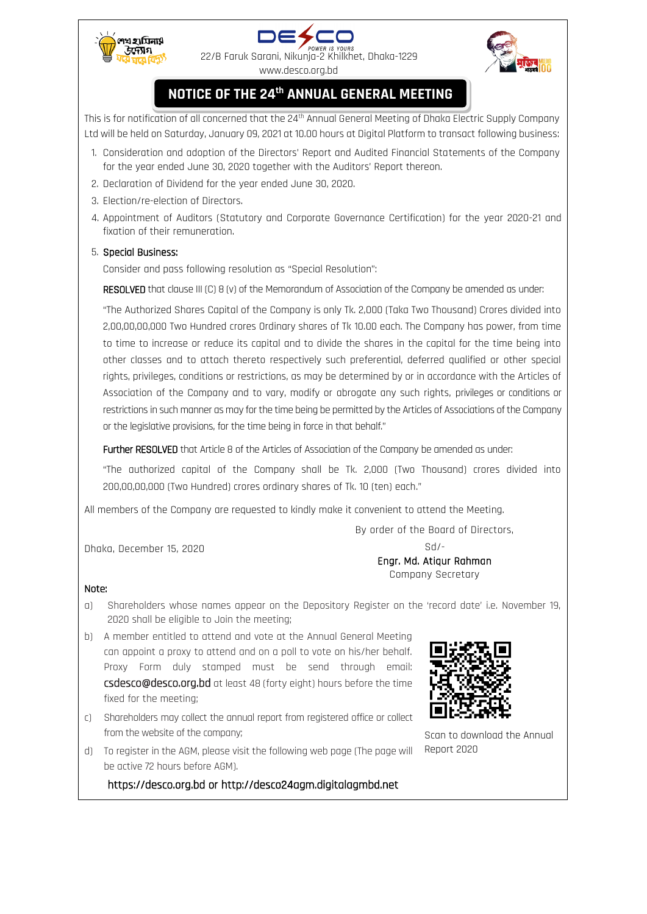





## **NOTICE OF THE 24th ANNUAL GENERAL MEETING**

This is for notification of all concerned that the 24<sup>th</sup> Annual General Meeting of Dhaka Electric Supply Company Ltd will be held on Saturday, January 09, 2021 at 10.00 hours at Digital Platform to transact following business:

- 1. Consideration and adoption of the Directors' Report and Audited Financial Statements of the Company for the year ended June 30, 2020 together with the Auditors' Report thereon.
- 2. Declaration of Dividend for the year ended June 30, 2020.
- 3. Election/re-election of Directors.
- 4. Appointment of Auditors (Statutory and Corporate Governance Certification) for the year 2020-21 and fixation of their remuneration.

## 5. Special Business:

Consider and pass following resolution as "Special Resolution":

RESOLVED that clause III (C) 8 (v) of the Memorandum of Association of the Company be amended as under:

"The Authorized Shares Capital of the Company is only Tk. 2,000 (Taka Two Thousand) Crores divided into 2,00,00,00,000 Two Hundred crores Ordinary shares of Tk 10.00 each. The Company has power, from time to time to increase or reduce its capital and to divide the shares in the capital for the time being into other classes and to attach thereto respectively such preferential, deferred qualified or other special rights, privileges, conditions or restrictions, as may be determined by or in accordance with the Articles of Association of the Company and to vary, modify or abrogate any such rights, privileges or conditions or restrictions in such manner as may for the time being be permitted by the Articles of Associations of the Company or the legislative provisions, for the time being in force in that behalf."

Further RESOLVED that Article 8 of the Articles of Association of the Company be amended as under:

"The authorized capital of the Company shall be Tk. 2,000 (Two Thousand) crores divided into 200,00,00,000 (Two Hundred) crores ordinary shares of Tk. 10 (ten) each."

All members of the Company are requested to kindly make it convenient to attend the Meeting.

By order of the Board of Directors,

Dhaka, December 15, 2020

Sd/- Engr. Md. Atiqur Rahman Company Secretary

## Note:

- a) Shareholders whose names appear on the Depository Register on the 'record date' i.e. November 19, 2020 shall be eligible to Join the meeting;
- b) A member entitled to attend and vote at the Annual General Meeting can appoint a proxy to attend and on a poll to vote on his/her behalf. Proxy Form duly stamped must be send through email: csdesco@desco.org.bd at least 48 (forty eight) hours before the time fixed for the meeting;
- c) Shareholders may collect the annual report from registered office or collect from the website of the company;
- d) To register in the AGM, please visit the following web page (The page will be active 72 hours before AGM).

https://desco.org.bd or http://desco24agm.digitalagmbd.net



Scan to download the Annual Report 2020